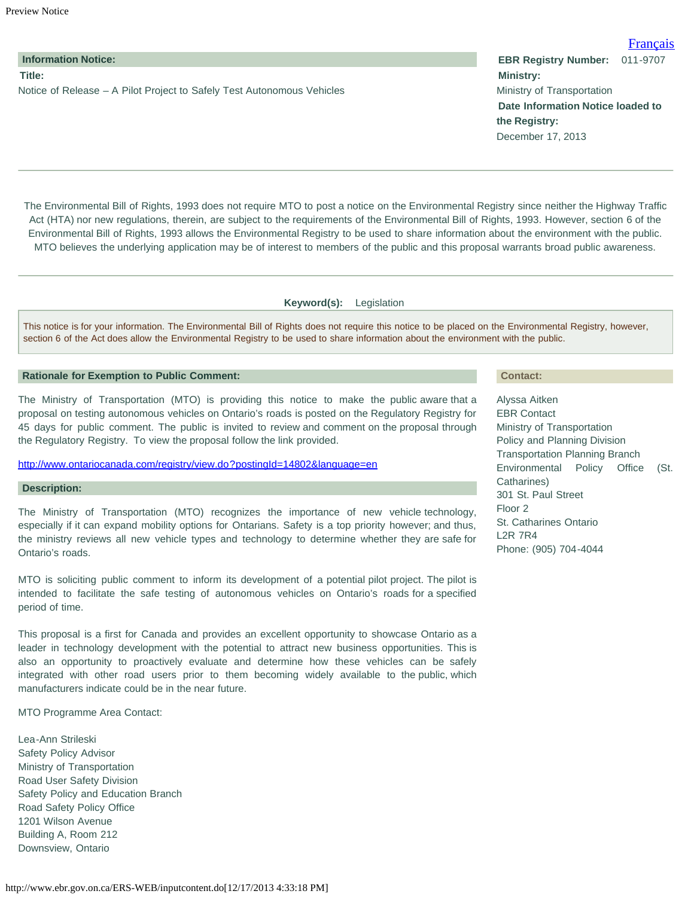## **Title:**

Notice of Release – A Pilot Project to Safely Test Autonomous Vehicles

The Environmental Bill of Rights, 1993 does not require MTO to post a notice on the Environmental Registry since neither the Highway Traffic Act (HTA) nor new regulations, therein, are subject to the requirements of the Environmental Bill of Rights, 1993. However, section 6 of the Environmental Bill of Rights, 1993 allows the Environmental Registry to be used to share information about the environment with the public. MTO believes the underlying application may be of interest to members of the public and this proposal warrants broad public awareness.

**Keyword(s):** Legislation

This notice is for your information. The Environmental Bill of Rights does not require this notice to be placed on the Environmental Registry, however, section 6 of the Act does allow the Environmental Registry to be used to share information about the environment with the public.

## **Rationale for Exemption to Public Comment:**

The Ministry of Transportation (MTO) is providing this notice to make the public aware that a proposal on testing autonomous vehicles on Ontario's roads is posted on the Regulatory Registry for 45 days for public comment. The public is invited to review and comment on the proposal through the Regulatory Registry. To view the proposal follow the link provided.

# <http://www.ontariocanada.com/registry/view.do?postingId=14802&language=en>

## **Description:**

The Ministry of Transportation (MTO) recognizes the importance of new vehicle technology, especially if it can expand mobility options for Ontarians. Safety is a top priority however; and thus, the ministry reviews all new vehicle types and technology to determine whether they are safe for Ontario's roads.

MTO is soliciting public comment to inform its development of a potential pilot project. The pilot is intended to facilitate the safe testing of autonomous vehicles on Ontario's roads for a specified period of time.

This proposal is a first for Canada and provides an excellent opportunity to showcase Ontario as a leader in technology development with the potential to attract new business opportunities. This is also an opportunity to proactively evaluate and determine how these vehicles can be safely integrated with other road users prior to them becoming widely available to the public, which manufacturers indicate could be in the near future.

MTO Programme Area Contact:

Lea-Ann Strileski Safety Policy Advisor Ministry of Transportation Road User Safety Division Safety Policy and Education Branch Road Safety Policy Office 1201 Wilson Avenue Building A, Room 212 Downsview, Ontario

#### **Contact:**

Alyssa Aitken EBR Contact Ministry of Transportation Policy and Planning Division Transportation Planning Branch Environmental Policy Office (St. Catharines) 301 St. Paul Street Floor 2 St. Catharines Ontario L2R 7R4 Phone: (905) 704-4044

<span id="page-0-0"></span>**Information Notice: EBR Registry Number:** 011-9707 **Ministry:** Ministry of Transportation **Date Information Notice loaded to the Registry:**

[Français](#page-0-0)

December 17, 2013